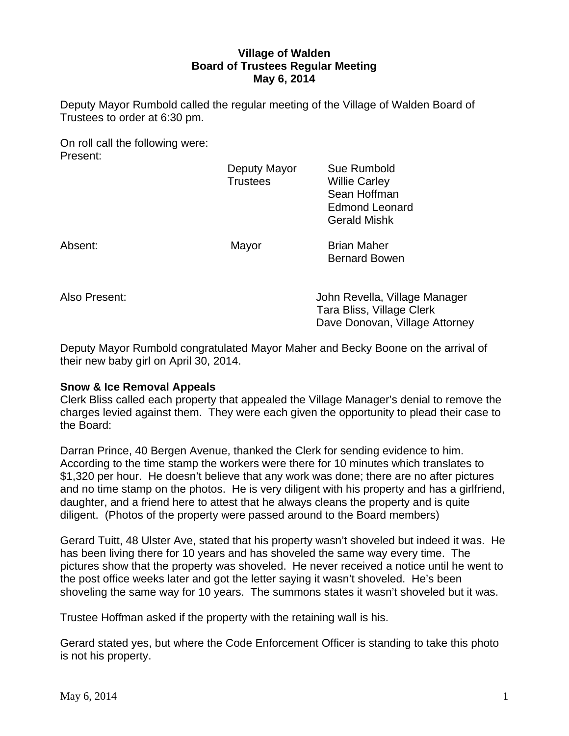# **Village of Walden Board of Trustees Regular Meeting May 6, 2014**

Deputy Mayor Rumbold called the regular meeting of the Village of Walden Board of Trustees to order at 6:30 pm.

On roll call the following were: Present:

|         | Deputy Mayor<br><b>Trustees</b> | Sue Rumbold<br><b>Willie Carley</b><br>Sean Hoffman<br><b>Edmond Leonard</b><br><b>Gerald Mishk</b> |
|---------|---------------------------------|-----------------------------------------------------------------------------------------------------|
| Absent: | Mayor                           | <b>Brian Maher</b><br><b>Bernard Bowen</b>                                                          |

Also Present: John Revella, Village Manager Tara Bliss, Village Clerk Dave Donovan, Village Attorney

Deputy Mayor Rumbold congratulated Mayor Maher and Becky Boone on the arrival of their new baby girl on April 30, 2014.

# **Snow & Ice Removal Appeals**

Clerk Bliss called each property that appealed the Village Manager's denial to remove the charges levied against them. They were each given the opportunity to plead their case to the Board:

Darran Prince, 40 Bergen Avenue, thanked the Clerk for sending evidence to him. According to the time stamp the workers were there for 10 minutes which translates to \$1,320 per hour. He doesn't believe that any work was done; there are no after pictures and no time stamp on the photos. He is very diligent with his property and has a girlfriend, daughter, and a friend here to attest that he always cleans the property and is quite diligent. (Photos of the property were passed around to the Board members)

Gerard Tuitt, 48 Ulster Ave, stated that his property wasn't shoveled but indeed it was. He has been living there for 10 years and has shoveled the same way every time. The pictures show that the property was shoveled. He never received a notice until he went to the post office weeks later and got the letter saying it wasn't shoveled. He's been shoveling the same way for 10 years. The summons states it wasn't shoveled but it was.

Trustee Hoffman asked if the property with the retaining wall is his.

Gerard stated yes, but where the Code Enforcement Officer is standing to take this photo is not his property.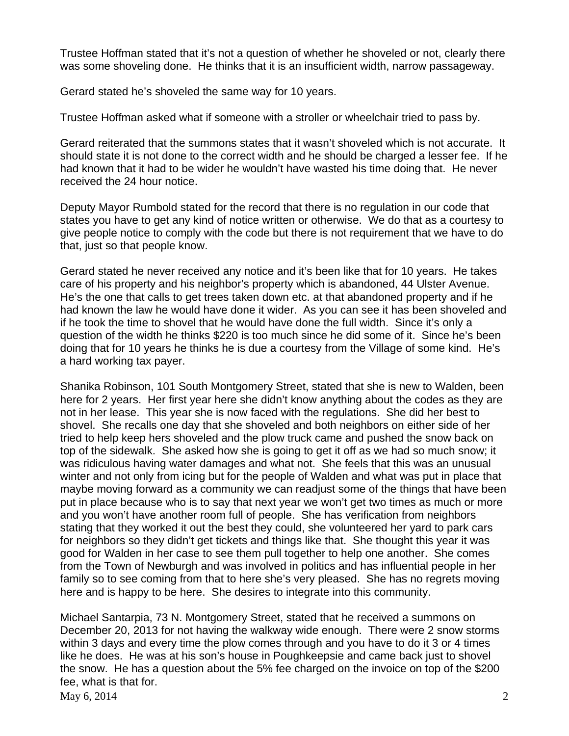Trustee Hoffman stated that it's not a question of whether he shoveled or not, clearly there was some shoveling done. He thinks that it is an insufficient width, narrow passageway.

Gerard stated he's shoveled the same way for 10 years.

Trustee Hoffman asked what if someone with a stroller or wheelchair tried to pass by.

Gerard reiterated that the summons states that it wasn't shoveled which is not accurate. It should state it is not done to the correct width and he should be charged a lesser fee. If he had known that it had to be wider he wouldn't have wasted his time doing that. He never received the 24 hour notice.

Deputy Mayor Rumbold stated for the record that there is no regulation in our code that states you have to get any kind of notice written or otherwise. We do that as a courtesy to give people notice to comply with the code but there is not requirement that we have to do that, just so that people know.

Gerard stated he never received any notice and it's been like that for 10 years. He takes care of his property and his neighbor's property which is abandoned, 44 Ulster Avenue. He's the one that calls to get trees taken down etc. at that abandoned property and if he had known the law he would have done it wider. As you can see it has been shoveled and if he took the time to shovel that he would have done the full width. Since it's only a question of the width he thinks \$220 is too much since he did some of it. Since he's been doing that for 10 years he thinks he is due a courtesy from the Village of some kind. He's a hard working tax payer.

Shanika Robinson, 101 South Montgomery Street, stated that she is new to Walden, been here for 2 years. Her first year here she didn't know anything about the codes as they are not in her lease. This year she is now faced with the regulations. She did her best to shovel. She recalls one day that she shoveled and both neighbors on either side of her tried to help keep hers shoveled and the plow truck came and pushed the snow back on top of the sidewalk. She asked how she is going to get it off as we had so much snow; it was ridiculous having water damages and what not. She feels that this was an unusual winter and not only from icing but for the people of Walden and what was put in place that maybe moving forward as a community we can readjust some of the things that have been put in place because who is to say that next year we won't get two times as much or more and you won't have another room full of people. She has verification from neighbors stating that they worked it out the best they could, she volunteered her yard to park cars for neighbors so they didn't get tickets and things like that. She thought this year it was good for Walden in her case to see them pull together to help one another. She comes from the Town of Newburgh and was involved in politics and has influential people in her family so to see coming from that to here she's very pleased. She has no regrets moving here and is happy to be here. She desires to integrate into this community.

May 6, 2014 2 Michael Santarpia, 73 N. Montgomery Street, stated that he received a summons on December 20, 2013 for not having the walkway wide enough. There were 2 snow storms within 3 days and every time the plow comes through and you have to do it 3 or 4 times like he does. He was at his son's house in Poughkeepsie and came back just to shovel the snow. He has a question about the 5% fee charged on the invoice on top of the \$200 fee, what is that for.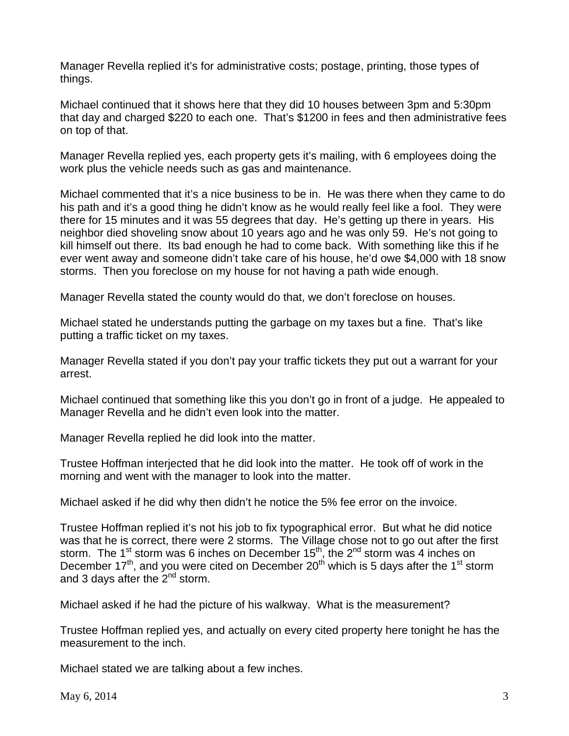Manager Revella replied it's for administrative costs; postage, printing, those types of things.

Michael continued that it shows here that they did 10 houses between 3pm and 5:30pm that day and charged \$220 to each one. That's \$1200 in fees and then administrative fees on top of that.

Manager Revella replied yes, each property gets it's mailing, with 6 employees doing the work plus the vehicle needs such as gas and maintenance.

Michael commented that it's a nice business to be in. He was there when they came to do his path and it's a good thing he didn't know as he would really feel like a fool. They were there for 15 minutes and it was 55 degrees that day. He's getting up there in years. His neighbor died shoveling snow about 10 years ago and he was only 59. He's not going to kill himself out there. Its bad enough he had to come back. With something like this if he ever went away and someone didn't take care of his house, he'd owe \$4,000 with 18 snow storms. Then you foreclose on my house for not having a path wide enough.

Manager Revella stated the county would do that, we don't foreclose on houses.

Michael stated he understands putting the garbage on my taxes but a fine. That's like putting a traffic ticket on my taxes.

Manager Revella stated if you don't pay your traffic tickets they put out a warrant for your arrest.

Michael continued that something like this you don't go in front of a judge. He appealed to Manager Revella and he didn't even look into the matter.

Manager Revella replied he did look into the matter.

Trustee Hoffman interjected that he did look into the matter. He took off of work in the morning and went with the manager to look into the matter.

Michael asked if he did why then didn't he notice the 5% fee error on the invoice.

Trustee Hoffman replied it's not his job to fix typographical error. But what he did notice was that he is correct, there were 2 storms. The Village chose not to go out after the first storm. The 1<sup>st</sup> storm was 6 inches on December 15<sup>th</sup>, the 2<sup>nd</sup> storm was 4 inches on December 17<sup>th</sup>, and you were cited on December 20<sup>th</sup> which is 5 days after the 1<sup>st</sup> storm and 3 days after the  $2^{nd}$  storm.

Michael asked if he had the picture of his walkway. What is the measurement?

Trustee Hoffman replied yes, and actually on every cited property here tonight he has the measurement to the inch.

Michael stated we are talking about a few inches.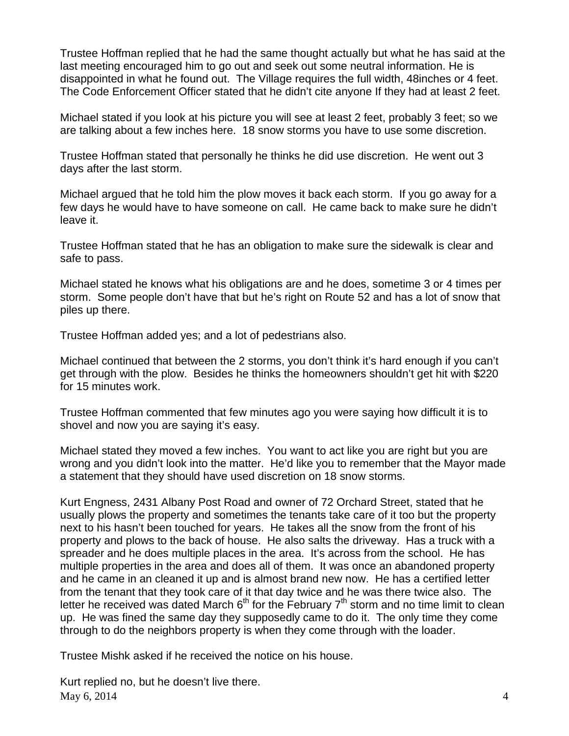Trustee Hoffman replied that he had the same thought actually but what he has said at the last meeting encouraged him to go out and seek out some neutral information. He is disappointed in what he found out. The Village requires the full width, 48inches or 4 feet. The Code Enforcement Officer stated that he didn't cite anyone If they had at least 2 feet.

Michael stated if you look at his picture you will see at least 2 feet, probably 3 feet; so we are talking about a few inches here. 18 snow storms you have to use some discretion.

Trustee Hoffman stated that personally he thinks he did use discretion. He went out 3 days after the last storm.

Michael argued that he told him the plow moves it back each storm. If you go away for a few days he would have to have someone on call. He came back to make sure he didn't leave it.

Trustee Hoffman stated that he has an obligation to make sure the sidewalk is clear and safe to pass.

Michael stated he knows what his obligations are and he does, sometime 3 or 4 times per storm. Some people don't have that but he's right on Route 52 and has a lot of snow that piles up there.

Trustee Hoffman added yes; and a lot of pedestrians also.

Michael continued that between the 2 storms, you don't think it's hard enough if you can't get through with the plow. Besides he thinks the homeowners shouldn't get hit with \$220 for 15 minutes work.

Trustee Hoffman commented that few minutes ago you were saying how difficult it is to shovel and now you are saying it's easy.

Michael stated they moved a few inches. You want to act like you are right but you are wrong and you didn't look into the matter. He'd like you to remember that the Mayor made a statement that they should have used discretion on 18 snow storms.

Kurt Engness, 2431 Albany Post Road and owner of 72 Orchard Street, stated that he usually plows the property and sometimes the tenants take care of it too but the property next to his hasn't been touched for years. He takes all the snow from the front of his property and plows to the back of house. He also salts the driveway. Has a truck with a spreader and he does multiple places in the area. It's across from the school. He has multiple properties in the area and does all of them. It was once an abandoned property and he came in an cleaned it up and is almost brand new now. He has a certified letter from the tenant that they took care of it that day twice and he was there twice also. The letter he received was dated March  $6<sup>th</sup>$  for the February  $7<sup>th</sup>$  storm and no time limit to clean up. He was fined the same day they supposedly came to do it. The only time they come through to do the neighbors property is when they come through with the loader.

Trustee Mishk asked if he received the notice on his house.

May 6, 2014  $\frac{4}{3}$ Kurt replied no, but he doesn't live there.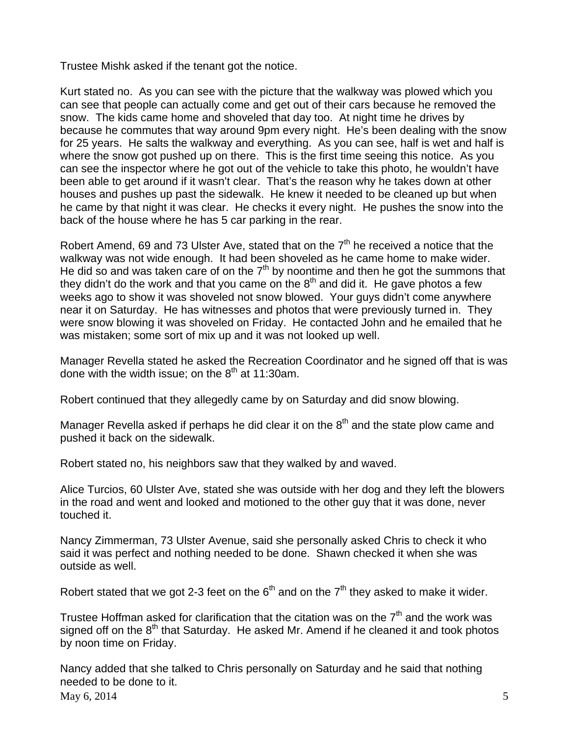Trustee Mishk asked if the tenant got the notice.

Kurt stated no. As you can see with the picture that the walkway was plowed which you can see that people can actually come and get out of their cars because he removed the snow. The kids came home and shoveled that day too. At night time he drives by because he commutes that way around 9pm every night. He's been dealing with the snow for 25 years. He salts the walkway and everything. As you can see, half is wet and half is where the snow got pushed up on there. This is the first time seeing this notice. As you can see the inspector where he got out of the vehicle to take this photo, he wouldn't have been able to get around if it wasn't clear. That's the reason why he takes down at other houses and pushes up past the sidewalk. He knew it needed to be cleaned up but when he came by that night it was clear. He checks it every night. He pushes the snow into the back of the house where he has 5 car parking in the rear.

Robert Amend, 69 and 73 Ulster Ave, stated that on the  $7<sup>th</sup>$  he received a notice that the walkway was not wide enough. It had been shoveled as he came home to make wider. He did so and was taken care of on the  $7<sup>th</sup>$  by noontime and then he got the summons that they didn't do the work and that you came on the  $8<sup>th</sup>$  and did it. He gave photos a few weeks ago to show it was shoveled not snow blowed. Your guys didn't come anywhere near it on Saturday. He has witnesses and photos that were previously turned in. They were snow blowing it was shoveled on Friday. He contacted John and he emailed that he was mistaken; some sort of mix up and it was not looked up well.

Manager Revella stated he asked the Recreation Coordinator and he signed off that is was done with the width issue; on the  $8<sup>th</sup>$  at 11:30am.

Robert continued that they allegedly came by on Saturday and did snow blowing.

Manager Revella asked if perhaps he did clear it on the  $8<sup>th</sup>$  and the state plow came and pushed it back on the sidewalk.

Robert stated no, his neighbors saw that they walked by and waved.

Alice Turcios, 60 Ulster Ave, stated she was outside with her dog and they left the blowers in the road and went and looked and motioned to the other guy that it was done, never touched it.

Nancy Zimmerman, 73 Ulster Avenue, said she personally asked Chris to check it who said it was perfect and nothing needed to be done. Shawn checked it when she was outside as well.

Robert stated that we got 2-3 feet on the  $6<sup>th</sup>$  and on the  $7<sup>th</sup>$  they asked to make it wider.

Trustee Hoffman asked for clarification that the citation was on the  $7<sup>th</sup>$  and the work was signed off on the  $8<sup>th</sup>$  that Saturday. He asked Mr. Amend if he cleaned it and took photos by noon time on Friday.

May 6, 2014  $\frac{5}{5}$ Nancy added that she talked to Chris personally on Saturday and he said that nothing needed to be done to it.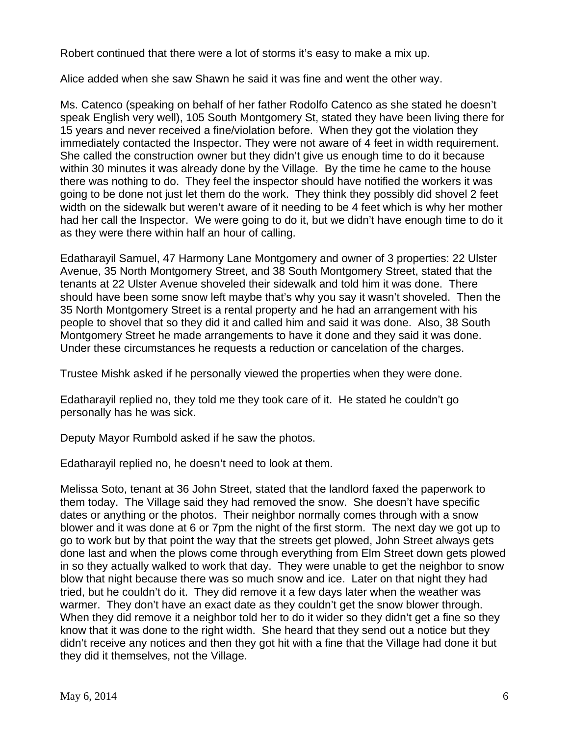Robert continued that there were a lot of storms it's easy to make a mix up.

Alice added when she saw Shawn he said it was fine and went the other way.

Ms. Catenco (speaking on behalf of her father Rodolfo Catenco as she stated he doesn't speak English very well), 105 South Montgomery St, stated they have been living there for 15 years and never received a fine/violation before. When they got the violation they immediately contacted the Inspector. They were not aware of 4 feet in width requirement. She called the construction owner but they didn't give us enough time to do it because within 30 minutes it was already done by the Village. By the time he came to the house there was nothing to do. They feel the inspector should have notified the workers it was going to be done not just let them do the work. They think they possibly did shovel 2 feet width on the sidewalk but weren't aware of it needing to be 4 feet which is why her mother had her call the Inspector. We were going to do it, but we didn't have enough time to do it as they were there within half an hour of calling.

Edatharayil Samuel, 47 Harmony Lane Montgomery and owner of 3 properties: 22 Ulster Avenue, 35 North Montgomery Street, and 38 South Montgomery Street, stated that the tenants at 22 Ulster Avenue shoveled their sidewalk and told him it was done. There should have been some snow left maybe that's why you say it wasn't shoveled. Then the 35 North Montgomery Street is a rental property and he had an arrangement with his people to shovel that so they did it and called him and said it was done. Also, 38 South Montgomery Street he made arrangements to have it done and they said it was done. Under these circumstances he requests a reduction or cancelation of the charges.

Trustee Mishk asked if he personally viewed the properties when they were done.

Edatharayil replied no, they told me they took care of it. He stated he couldn't go personally has he was sick.

Deputy Mayor Rumbold asked if he saw the photos.

Edatharayil replied no, he doesn't need to look at them.

Melissa Soto, tenant at 36 John Street, stated that the landlord faxed the paperwork to them today. The Village said they had removed the snow. She doesn't have specific dates or anything or the photos. Their neighbor normally comes through with a snow blower and it was done at 6 or 7pm the night of the first storm. The next day we got up to go to work but by that point the way that the streets get plowed, John Street always gets done last and when the plows come through everything from Elm Street down gets plowed in so they actually walked to work that day. They were unable to get the neighbor to snow blow that night because there was so much snow and ice. Later on that night they had tried, but he couldn't do it. They did remove it a few days later when the weather was warmer. They don't have an exact date as they couldn't get the snow blower through. When they did remove it a neighbor told her to do it wider so they didn't get a fine so they know that it was done to the right width. She heard that they send out a notice but they didn't receive any notices and then they got hit with a fine that the Village had done it but they did it themselves, not the Village.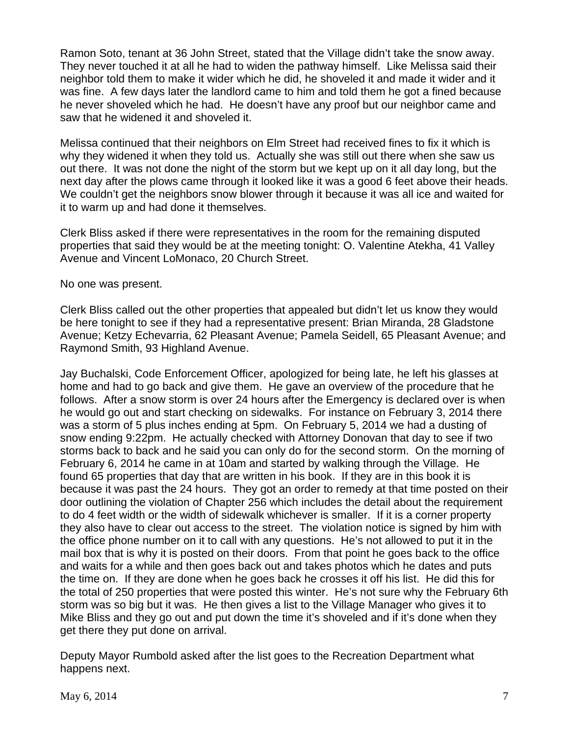Ramon Soto, tenant at 36 John Street, stated that the Village didn't take the snow away. They never touched it at all he had to widen the pathway himself. Like Melissa said their neighbor told them to make it wider which he did, he shoveled it and made it wider and it was fine. A few days later the landlord came to him and told them he got a fined because he never shoveled which he had. He doesn't have any proof but our neighbor came and saw that he widened it and shoveled it.

Melissa continued that their neighbors on Elm Street had received fines to fix it which is why they widened it when they told us. Actually she was still out there when she saw us out there. It was not done the night of the storm but we kept up on it all day long, but the next day after the plows came through it looked like it was a good 6 feet above their heads. We couldn't get the neighbors snow blower through it because it was all ice and waited for it to warm up and had done it themselves.

Clerk Bliss asked if there were representatives in the room for the remaining disputed properties that said they would be at the meeting tonight: O. Valentine Atekha, 41 Valley Avenue and Vincent LoMonaco, 20 Church Street.

No one was present.

Clerk Bliss called out the other properties that appealed but didn't let us know they would be here tonight to see if they had a representative present: Brian Miranda, 28 Gladstone Avenue; Ketzy Echevarria, 62 Pleasant Avenue; Pamela Seidell, 65 Pleasant Avenue; and Raymond Smith, 93 Highland Avenue.

Jay Buchalski, Code Enforcement Officer, apologized for being late, he left his glasses at home and had to go back and give them. He gave an overview of the procedure that he follows. After a snow storm is over 24 hours after the Emergency is declared over is when he would go out and start checking on sidewalks. For instance on February 3, 2014 there was a storm of 5 plus inches ending at 5pm. On February 5, 2014 we had a dusting of snow ending 9:22pm. He actually checked with Attorney Donovan that day to see if two storms back to back and he said you can only do for the second storm. On the morning of February 6, 2014 he came in at 10am and started by walking through the Village. He found 65 properties that day that are written in his book. If they are in this book it is because it was past the 24 hours. They got an order to remedy at that time posted on their door outlining the violation of Chapter 256 which includes the detail about the requirement to do 4 feet width or the width of sidewalk whichever is smaller. If it is a corner property they also have to clear out access to the street. The violation notice is signed by him with the office phone number on it to call with any questions. He's not allowed to put it in the mail box that is why it is posted on their doors. From that point he goes back to the office and waits for a while and then goes back out and takes photos which he dates and puts the time on. If they are done when he goes back he crosses it off his list. He did this for the total of 250 properties that were posted this winter. He's not sure why the February 6th storm was so big but it was. He then gives a list to the Village Manager who gives it to Mike Bliss and they go out and put down the time it's shoveled and if it's done when they get there they put done on arrival.

Deputy Mayor Rumbold asked after the list goes to the Recreation Department what happens next.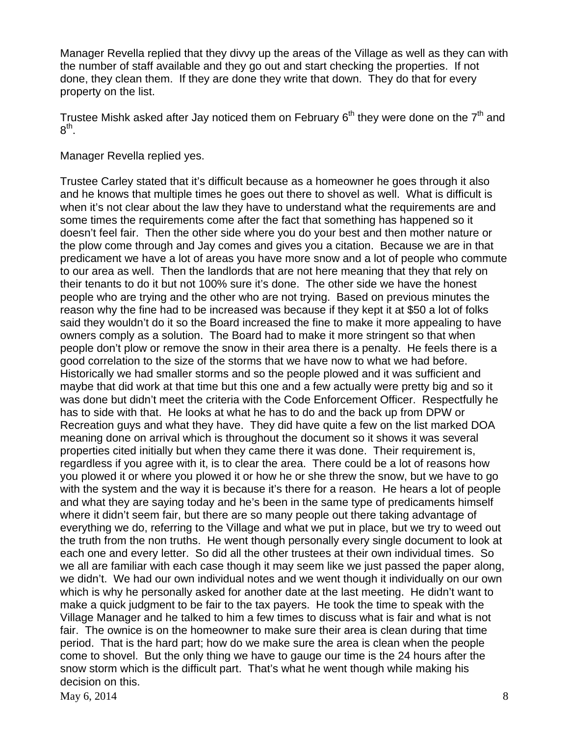Manager Revella replied that they divvy up the areas of the Village as well as they can with the number of staff available and they go out and start checking the properties. If not done, they clean them. If they are done they write that down. They do that for every property on the list.

Trustee Mishk asked after Jay noticed them on February  $6<sup>th</sup>$  they were done on the  $7<sup>th</sup>$  and  $8^{\sf th}$ .

Manager Revella replied yes.

May 6, 2014  $\frac{8}{3}$ Trustee Carley stated that it's difficult because as a homeowner he goes through it also and he knows that multiple times he goes out there to shovel as well. What is difficult is when it's not clear about the law they have to understand what the requirements are and some times the requirements come after the fact that something has happened so it doesn't feel fair. Then the other side where you do your best and then mother nature or the plow come through and Jay comes and gives you a citation. Because we are in that predicament we have a lot of areas you have more snow and a lot of people who commute to our area as well. Then the landlords that are not here meaning that they that rely on their tenants to do it but not 100% sure it's done. The other side we have the honest people who are trying and the other who are not trying. Based on previous minutes the reason why the fine had to be increased was because if they kept it at \$50 a lot of folks said they wouldn't do it so the Board increased the fine to make it more appealing to have owners comply as a solution. The Board had to make it more stringent so that when people don't plow or remove the snow in their area there is a penalty. He feels there is a good correlation to the size of the storms that we have now to what we had before. Historically we had smaller storms and so the people plowed and it was sufficient and maybe that did work at that time but this one and a few actually were pretty big and so it was done but didn't meet the criteria with the Code Enforcement Officer. Respectfully he has to side with that. He looks at what he has to do and the back up from DPW or Recreation guys and what they have. They did have quite a few on the list marked DOA meaning done on arrival which is throughout the document so it shows it was several properties cited initially but when they came there it was done. Their requirement is, regardless if you agree with it, is to clear the area. There could be a lot of reasons how you plowed it or where you plowed it or how he or she threw the snow, but we have to go with the system and the way it is because it's there for a reason. He hears a lot of people and what they are saying today and he's been in the same type of predicaments himself where it didn't seem fair, but there are so many people out there taking advantage of everything we do, referring to the Village and what we put in place, but we try to weed out the truth from the non truths. He went though personally every single document to look at each one and every letter. So did all the other trustees at their own individual times. So we all are familiar with each case though it may seem like we just passed the paper along, we didn't. We had our own individual notes and we went though it individually on our own which is why he personally asked for another date at the last meeting. He didn't want to make a quick judgment to be fair to the tax payers. He took the time to speak with the Village Manager and he talked to him a few times to discuss what is fair and what is not fair. The ownice is on the homeowner to make sure their area is clean during that time period. That is the hard part; how do we make sure the area is clean when the people come to shovel. But the only thing we have to gauge our time is the 24 hours after the snow storm which is the difficult part. That's what he went though while making his decision on this.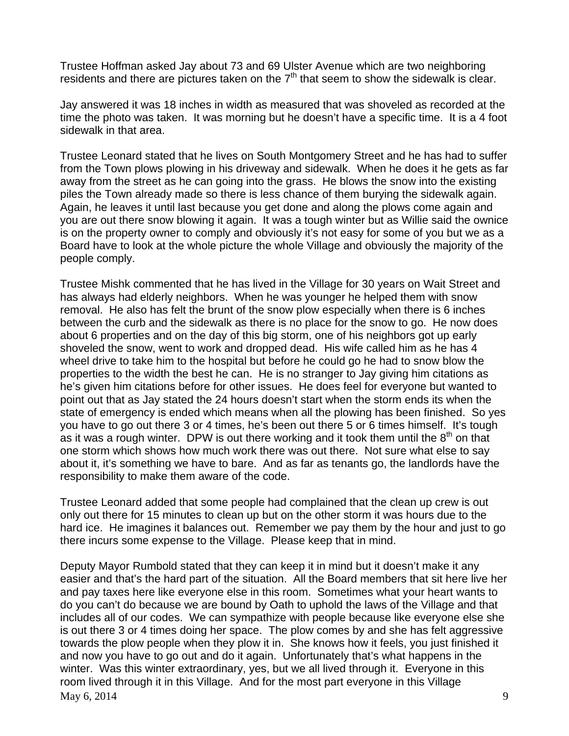Trustee Hoffman asked Jay about 73 and 69 Ulster Avenue which are two neighboring residents and there are pictures taken on the  $7<sup>th</sup>$  that seem to show the sidewalk is clear.

Jay answered it was 18 inches in width as measured that was shoveled as recorded at the time the photo was taken. It was morning but he doesn't have a specific time. It is a 4 foot sidewalk in that area.

Trustee Leonard stated that he lives on South Montgomery Street and he has had to suffer from the Town plows plowing in his driveway and sidewalk. When he does it he gets as far away from the street as he can going into the grass. He blows the snow into the existing piles the Town already made so there is less chance of them burying the sidewalk again. Again, he leaves it until last because you get done and along the plows come again and you are out there snow blowing it again. It was a tough winter but as Willie said the ownice is on the property owner to comply and obviously it's not easy for some of you but we as a Board have to look at the whole picture the whole Village and obviously the majority of the people comply.

Trustee Mishk commented that he has lived in the Village for 30 years on Wait Street and has always had elderly neighbors. When he was younger he helped them with snow removal. He also has felt the brunt of the snow plow especially when there is 6 inches between the curb and the sidewalk as there is no place for the snow to go. He now does about 6 properties and on the day of this big storm, one of his neighbors got up early shoveled the snow, went to work and dropped dead. His wife called him as he has 4 wheel drive to take him to the hospital but before he could go he had to snow blow the properties to the width the best he can. He is no stranger to Jay giving him citations as he's given him citations before for other issues. He does feel for everyone but wanted to point out that as Jay stated the 24 hours doesn't start when the storm ends its when the state of emergency is ended which means when all the plowing has been finished. So yes you have to go out there 3 or 4 times, he's been out there 5 or 6 times himself. It's tough as it was a rough winter. DPW is out there working and it took them until the  $8<sup>th</sup>$  on that one storm which shows how much work there was out there. Not sure what else to say about it, it's something we have to bare. And as far as tenants go, the landlords have the responsibility to make them aware of the code.

Trustee Leonard added that some people had complained that the clean up crew is out only out there for 15 minutes to clean up but on the other storm it was hours due to the hard ice. He imagines it balances out. Remember we pay them by the hour and just to go there incurs some expense to the Village. Please keep that in mind.

 $\text{Mav } 6, 2014$  9 Deputy Mayor Rumbold stated that they can keep it in mind but it doesn't make it any easier and that's the hard part of the situation. All the Board members that sit here live her and pay taxes here like everyone else in this room. Sometimes what your heart wants to do you can't do because we are bound by Oath to uphold the laws of the Village and that includes all of our codes. We can sympathize with people because like everyone else she is out there 3 or 4 times doing her space. The plow comes by and she has felt aggressive towards the plow people when they plow it in. She knows how it feels, you just finished it and now you have to go out and do it again. Unfortunately that's what happens in the winter. Was this winter extraordinary, yes, but we all lived through it. Everyone in this room lived through it in this Village. And for the most part everyone in this Village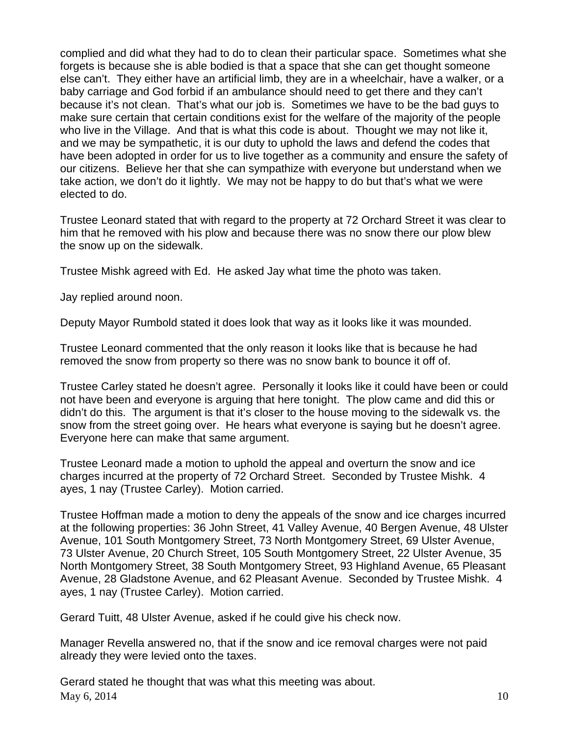complied and did what they had to do to clean their particular space. Sometimes what she forgets is because she is able bodied is that a space that she can get thought someone else can't. They either have an artificial limb, they are in a wheelchair, have a walker, or a baby carriage and God forbid if an ambulance should need to get there and they can't because it's not clean. That's what our job is. Sometimes we have to be the bad guys to make sure certain that certain conditions exist for the welfare of the majority of the people who live in the Village. And that is what this code is about. Thought we may not like it, and we may be sympathetic, it is our duty to uphold the laws and defend the codes that have been adopted in order for us to live together as a community and ensure the safety of our citizens. Believe her that she can sympathize with everyone but understand when we take action, we don't do it lightly. We may not be happy to do but that's what we were elected to do.

Trustee Leonard stated that with regard to the property at 72 Orchard Street it was clear to him that he removed with his plow and because there was no snow there our plow blew the snow up on the sidewalk.

Trustee Mishk agreed with Ed. He asked Jay what time the photo was taken.

Jay replied around noon.

Deputy Mayor Rumbold stated it does look that way as it looks like it was mounded.

Trustee Leonard commented that the only reason it looks like that is because he had removed the snow from property so there was no snow bank to bounce it off of.

Trustee Carley stated he doesn't agree. Personally it looks like it could have been or could not have been and everyone is arguing that here tonight. The plow came and did this or didn't do this. The argument is that it's closer to the house moving to the sidewalk vs. the snow from the street going over. He hears what everyone is saying but he doesn't agree. Everyone here can make that same argument.

Trustee Leonard made a motion to uphold the appeal and overturn the snow and ice charges incurred at the property of 72 Orchard Street. Seconded by Trustee Mishk. 4 ayes, 1 nay (Trustee Carley). Motion carried.

Trustee Hoffman made a motion to deny the appeals of the snow and ice charges incurred at the following properties: 36 John Street, 41 Valley Avenue, 40 Bergen Avenue, 48 Ulster Avenue, 101 South Montgomery Street, 73 North Montgomery Street, 69 Ulster Avenue, 73 Ulster Avenue, 20 Church Street, 105 South Montgomery Street, 22 Ulster Avenue, 35 North Montgomery Street, 38 South Montgomery Street, 93 Highland Avenue, 65 Pleasant Avenue, 28 Gladstone Avenue, and 62 Pleasant Avenue. Seconded by Trustee Mishk. 4 ayes, 1 nay (Trustee Carley). Motion carried.

Gerard Tuitt, 48 Ulster Avenue, asked if he could give his check now.

Manager Revella answered no, that if the snow and ice removal charges were not paid already they were levied onto the taxes.

May 6, 2014 10 Gerard stated he thought that was what this meeting was about.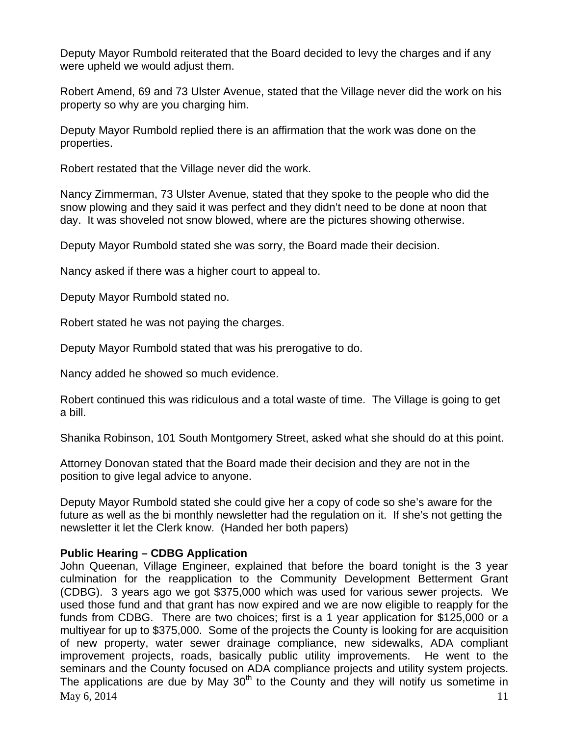Deputy Mayor Rumbold reiterated that the Board decided to levy the charges and if any were upheld we would adjust them.

Robert Amend, 69 and 73 Ulster Avenue, stated that the Village never did the work on his property so why are you charging him.

Deputy Mayor Rumbold replied there is an affirmation that the work was done on the properties.

Robert restated that the Village never did the work.

Nancy Zimmerman, 73 Ulster Avenue, stated that they spoke to the people who did the snow plowing and they said it was perfect and they didn't need to be done at noon that day. It was shoveled not snow blowed, where are the pictures showing otherwise.

Deputy Mayor Rumbold stated she was sorry, the Board made their decision.

Nancy asked if there was a higher court to appeal to.

Deputy Mayor Rumbold stated no.

Robert stated he was not paying the charges.

Deputy Mayor Rumbold stated that was his prerogative to do.

Nancy added he showed so much evidence.

Robert continued this was ridiculous and a total waste of time. The Village is going to get a bill.

Shanika Robinson, 101 South Montgomery Street, asked what she should do at this point.

Attorney Donovan stated that the Board made their decision and they are not in the position to give legal advice to anyone.

Deputy Mayor Rumbold stated she could give her a copy of code so she's aware for the future as well as the bi monthly newsletter had the regulation on it. If she's not getting the newsletter it let the Clerk know. (Handed her both papers)

# **Public Hearing – CDBG Application**

May 6, 2014  $\frac{11}{11}$ John Queenan, Village Engineer, explained that before the board tonight is the 3 year culmination for the reapplication to the Community Development Betterment Grant (CDBG). 3 years ago we got \$375,000 which was used for various sewer projects. We used those fund and that grant has now expired and we are now eligible to reapply for the funds from CDBG. There are two choices; first is a 1 year application for \$125,000 or a multiyear for up to \$375,000. Some of the projects the County is looking for are acquisition of new property, water sewer drainage compliance, new sidewalks, ADA compliant improvement projects, roads, basically public utility improvements. He went to the seminars and the County focused on ADA compliance projects and utility system projects. The applications are due by May  $30<sup>th</sup>$  to the County and they will notify us sometime in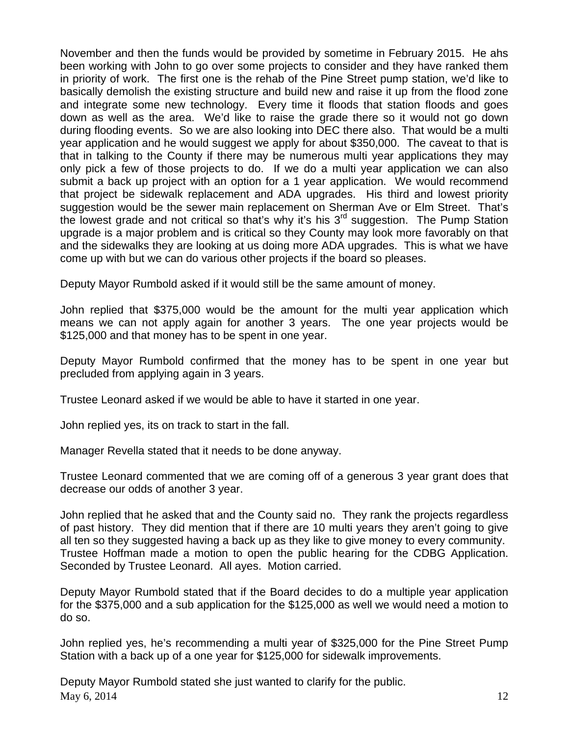November and then the funds would be provided by sometime in February 2015. He ahs been working with John to go over some projects to consider and they have ranked them in priority of work. The first one is the rehab of the Pine Street pump station, we'd like to basically demolish the existing structure and build new and raise it up from the flood zone and integrate some new technology. Every time it floods that station floods and goes down as well as the area. We'd like to raise the grade there so it would not go down during flooding events. So we are also looking into DEC there also. That would be a multi year application and he would suggest we apply for about \$350,000. The caveat to that is that in talking to the County if there may be numerous multi year applications they may only pick a few of those projects to do. If we do a multi year application we can also submit a back up project with an option for a 1 year application. We would recommend that project be sidewalk replacement and ADA upgrades. His third and lowest priority suggestion would be the sewer main replacement on Sherman Ave or Elm Street. That's the lowest grade and not critical so that's why it's his  $3<sup>rd</sup>$  suggestion. The Pump Station upgrade is a major problem and is critical so they County may look more favorably on that and the sidewalks they are looking at us doing more ADA upgrades. This is what we have come up with but we can do various other projects if the board so pleases.

Deputy Mayor Rumbold asked if it would still be the same amount of money.

John replied that \$375,000 would be the amount for the multi year application which means we can not apply again for another 3 years. The one year projects would be \$125,000 and that money has to be spent in one year.

Deputy Mayor Rumbold confirmed that the money has to be spent in one year but precluded from applying again in 3 years.

Trustee Leonard asked if we would be able to have it started in one year.

John replied yes, its on track to start in the fall.

Manager Revella stated that it needs to be done anyway.

Trustee Leonard commented that we are coming off of a generous 3 year grant does that decrease our odds of another 3 year.

John replied that he asked that and the County said no. They rank the projects regardless of past history. They did mention that if there are 10 multi years they aren't going to give all ten so they suggested having a back up as they like to give money to every community. Trustee Hoffman made a motion to open the public hearing for the CDBG Application. Seconded by Trustee Leonard. All ayes. Motion carried.

Deputy Mayor Rumbold stated that if the Board decides to do a multiple year application for the \$375,000 and a sub application for the \$125,000 as well we would need a motion to do so.

John replied yes, he's recommending a multi year of \$325,000 for the Pine Street Pump Station with a back up of a one year for \$125,000 for sidewalk improvements.

May 6, 2014 12 Deputy Mayor Rumbold stated she just wanted to clarify for the public.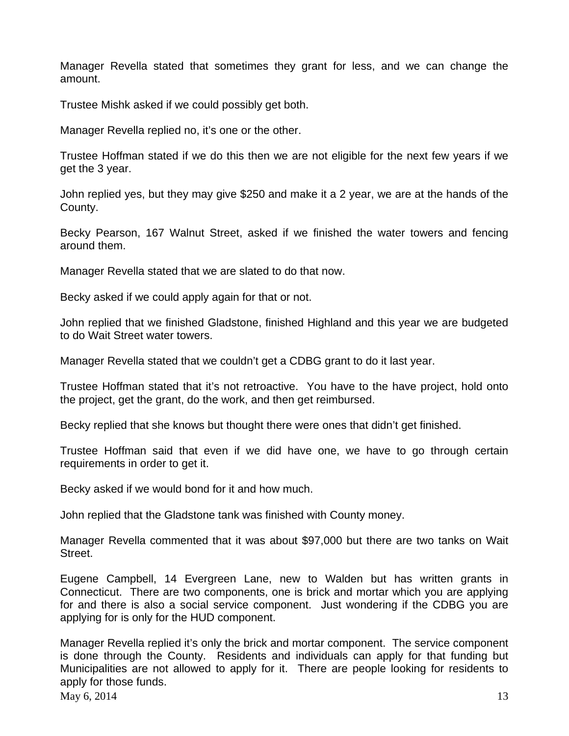Manager Revella stated that sometimes they grant for less, and we can change the amount.

Trustee Mishk asked if we could possibly get both.

Manager Revella replied no, it's one or the other.

Trustee Hoffman stated if we do this then we are not eligible for the next few years if we get the 3 year.

John replied yes, but they may give \$250 and make it a 2 year, we are at the hands of the County.

Becky Pearson, 167 Walnut Street, asked if we finished the water towers and fencing around them.

Manager Revella stated that we are slated to do that now.

Becky asked if we could apply again for that or not.

John replied that we finished Gladstone, finished Highland and this year we are budgeted to do Wait Street water towers.

Manager Revella stated that we couldn't get a CDBG grant to do it last year.

Trustee Hoffman stated that it's not retroactive. You have to the have project, hold onto the project, get the grant, do the work, and then get reimbursed.

Becky replied that she knows but thought there were ones that didn't get finished.

Trustee Hoffman said that even if we did have one, we have to go through certain requirements in order to get it.

Becky asked if we would bond for it and how much.

John replied that the Gladstone tank was finished with County money.

Manager Revella commented that it was about \$97,000 but there are two tanks on Wait Street.

Eugene Campbell, 14 Evergreen Lane, new to Walden but has written grants in Connecticut. There are two components, one is brick and mortar which you are applying for and there is also a social service component. Just wondering if the CDBG you are applying for is only for the HUD component.

May 6, 2014 13 Manager Revella replied it's only the brick and mortar component. The service component is done through the County. Residents and individuals can apply for that funding but Municipalities are not allowed to apply for it. There are people looking for residents to apply for those funds.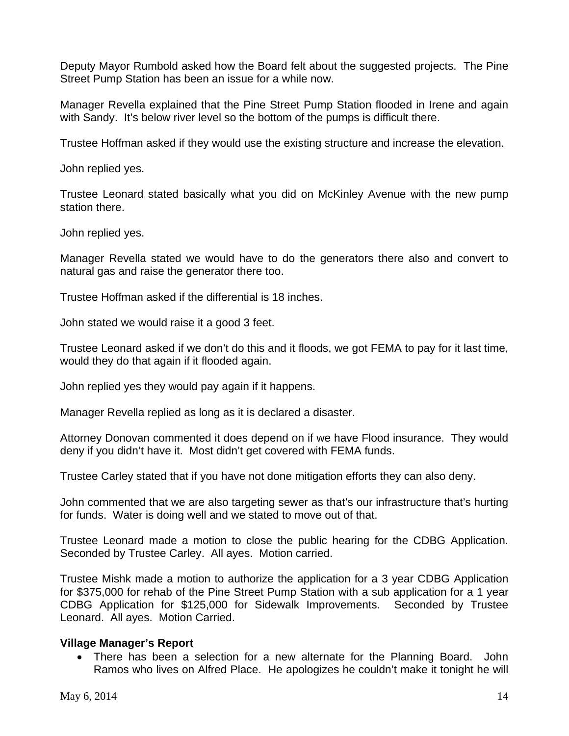Deputy Mayor Rumbold asked how the Board felt about the suggested projects. The Pine Street Pump Station has been an issue for a while now.

Manager Revella explained that the Pine Street Pump Station flooded in Irene and again with Sandy. It's below river level so the bottom of the pumps is difficult there.

Trustee Hoffman asked if they would use the existing structure and increase the elevation.

John replied yes.

Trustee Leonard stated basically what you did on McKinley Avenue with the new pump station there.

John replied yes.

Manager Revella stated we would have to do the generators there also and convert to natural gas and raise the generator there too.

Trustee Hoffman asked if the differential is 18 inches.

John stated we would raise it a good 3 feet.

Trustee Leonard asked if we don't do this and it floods, we got FEMA to pay for it last time, would they do that again if it flooded again.

John replied yes they would pay again if it happens.

Manager Revella replied as long as it is declared a disaster.

Attorney Donovan commented it does depend on if we have Flood insurance. They would deny if you didn't have it. Most didn't get covered with FEMA funds.

Trustee Carley stated that if you have not done mitigation efforts they can also deny.

John commented that we are also targeting sewer as that's our infrastructure that's hurting for funds. Water is doing well and we stated to move out of that.

Trustee Leonard made a motion to close the public hearing for the CDBG Application. Seconded by Trustee Carley. All ayes. Motion carried.

Trustee Mishk made a motion to authorize the application for a 3 year CDBG Application for \$375,000 for rehab of the Pine Street Pump Station with a sub application for a 1 year CDBG Application for \$125,000 for Sidewalk Improvements. Seconded by Trustee Leonard. All ayes. Motion Carried.

# **Village Manager's Report**

• There has been a selection for a new alternate for the Planning Board. John Ramos who lives on Alfred Place. He apologizes he couldn't make it tonight he will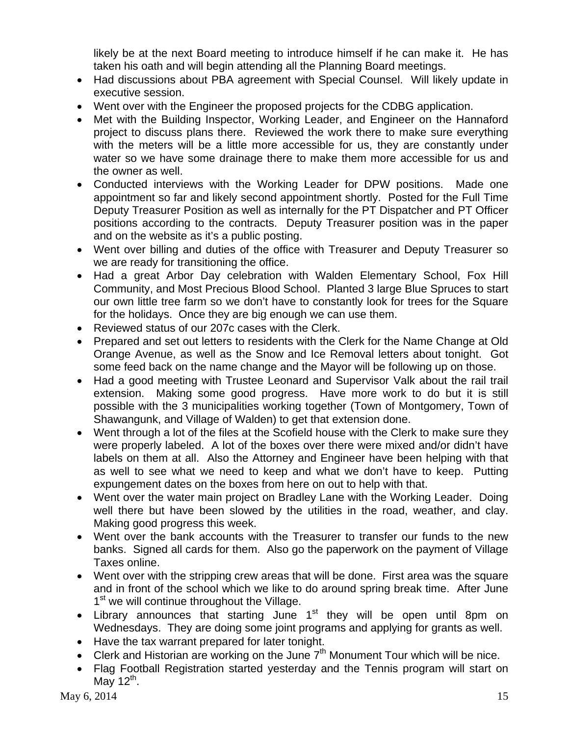likely be at the next Board meeting to introduce himself if he can make it. He has taken his oath and will begin attending all the Planning Board meetings.

- Had discussions about PBA agreement with Special Counsel. Will likely update in executive session.
- Went over with the Engineer the proposed projects for the CDBG application.
- Met with the Building Inspector, Working Leader, and Engineer on the Hannaford project to discuss plans there. Reviewed the work there to make sure everything with the meters will be a little more accessible for us, they are constantly under water so we have some drainage there to make them more accessible for us and the owner as well.
- Conducted interviews with the Working Leader for DPW positions. Made one appointment so far and likely second appointment shortly. Posted for the Full Time Deputy Treasurer Position as well as internally for the PT Dispatcher and PT Officer positions according to the contracts. Deputy Treasurer position was in the paper and on the website as it's a public posting.
- Went over billing and duties of the office with Treasurer and Deputy Treasurer so we are ready for transitioning the office.
- Had a great Arbor Day celebration with Walden Elementary School, Fox Hill Community, and Most Precious Blood School. Planted 3 large Blue Spruces to start our own little tree farm so we don't have to constantly look for trees for the Square for the holidays. Once they are big enough we can use them.
- Reviewed status of our 207c cases with the Clerk.
- Prepared and set out letters to residents with the Clerk for the Name Change at Old Orange Avenue, as well as the Snow and Ice Removal letters about tonight. Got some feed back on the name change and the Mayor will be following up on those.
- Had a good meeting with Trustee Leonard and Supervisor Valk about the rail trail extension. Making some good progress. Have more work to do but it is still possible with the 3 municipalities working together (Town of Montgomery, Town of Shawangunk, and Village of Walden) to get that extension done.
- Went through a lot of the files at the Scofield house with the Clerk to make sure they were properly labeled. A lot of the boxes over there were mixed and/or didn't have labels on them at all. Also the Attorney and Engineer have been helping with that as well to see what we need to keep and what we don't have to keep. Putting expungement dates on the boxes from here on out to help with that.
- Went over the water main project on Bradley Lane with the Working Leader. Doing well there but have been slowed by the utilities in the road, weather, and clay. Making good progress this week.
- Went over the bank accounts with the Treasurer to transfer our funds to the new banks. Signed all cards for them. Also go the paperwork on the payment of Village Taxes online.
- Went over with the stripping crew areas that will be done. First area was the square and in front of the school which we like to do around spring break time. After June 1<sup>st</sup> we will continue throughout the Village.
- Library announces that starting June  $1<sup>st</sup>$  they will be open until 8pm on Wednesdays. They are doing some joint programs and applying for grants as well.
- Have the tax warrant prepared for later tonight.
- Clerk and Historian are working on the June  $7<sup>th</sup>$  Monument Tour which will be nice.
- Flag Football Registration started yesterday and the Tennis program will start on May  $12^{\text{th}}$ .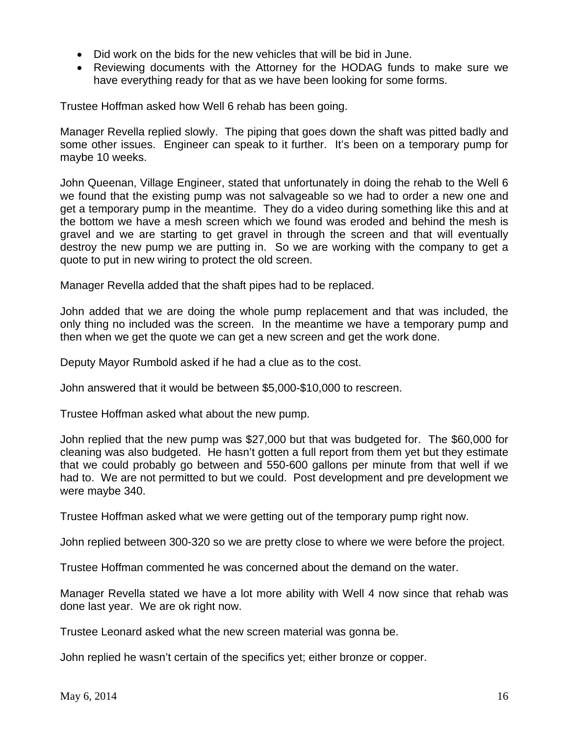- Did work on the bids for the new vehicles that will be bid in June.
- Reviewing documents with the Attorney for the HODAG funds to make sure we have everything ready for that as we have been looking for some forms.

Trustee Hoffman asked how Well 6 rehab has been going.

Manager Revella replied slowly. The piping that goes down the shaft was pitted badly and some other issues. Engineer can speak to it further. It's been on a temporary pump for maybe 10 weeks.

John Queenan, Village Engineer, stated that unfortunately in doing the rehab to the Well 6 we found that the existing pump was not salvageable so we had to order a new one and get a temporary pump in the meantime. They do a video during something like this and at the bottom we have a mesh screen which we found was eroded and behind the mesh is gravel and we are starting to get gravel in through the screen and that will eventually destroy the new pump we are putting in. So we are working with the company to get a quote to put in new wiring to protect the old screen.

Manager Revella added that the shaft pipes had to be replaced.

John added that we are doing the whole pump replacement and that was included, the only thing no included was the screen. In the meantime we have a temporary pump and then when we get the quote we can get a new screen and get the work done.

Deputy Mayor Rumbold asked if he had a clue as to the cost.

John answered that it would be between \$5,000-\$10,000 to rescreen.

Trustee Hoffman asked what about the new pump.

John replied that the new pump was \$27,000 but that was budgeted for. The \$60,000 for cleaning was also budgeted. He hasn't gotten a full report from them yet but they estimate that we could probably go between and 550-600 gallons per minute from that well if we had to. We are not permitted to but we could. Post development and pre development we were maybe 340.

Trustee Hoffman asked what we were getting out of the temporary pump right now.

John replied between 300-320 so we are pretty close to where we were before the project.

Trustee Hoffman commented he was concerned about the demand on the water.

Manager Revella stated we have a lot more ability with Well 4 now since that rehab was done last year. We are ok right now.

Trustee Leonard asked what the new screen material was gonna be.

John replied he wasn't certain of the specifics yet; either bronze or copper.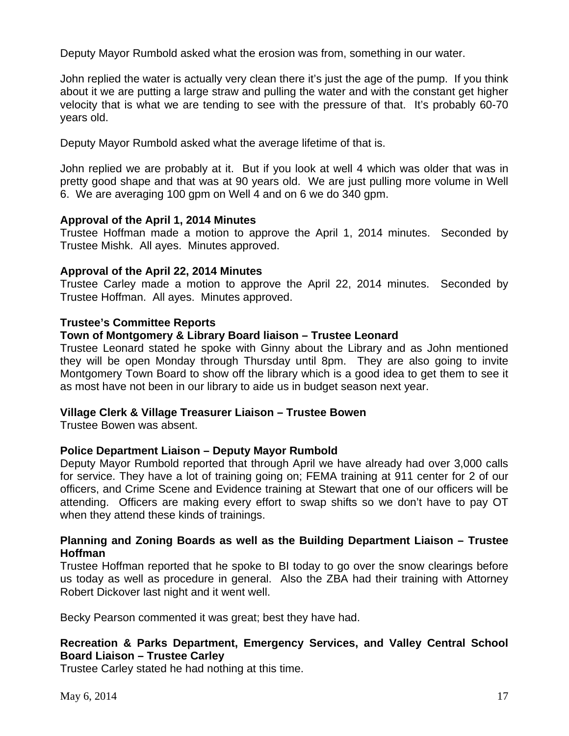Deputy Mayor Rumbold asked what the erosion was from, something in our water.

John replied the water is actually very clean there it's just the age of the pump. If you think about it we are putting a large straw and pulling the water and with the constant get higher velocity that is what we are tending to see with the pressure of that. It's probably 60-70 years old.

Deputy Mayor Rumbold asked what the average lifetime of that is.

John replied we are probably at it. But if you look at well 4 which was older that was in pretty good shape and that was at 90 years old. We are just pulling more volume in Well 6. We are averaging 100 gpm on Well 4 and on 6 we do 340 gpm.

### **Approval of the April 1, 2014 Minutes**

Trustee Hoffman made a motion to approve the April 1, 2014 minutes. Seconded by Trustee Mishk. All ayes. Minutes approved.

### **Approval of the April 22, 2014 Minutes**

Trustee Carley made a motion to approve the April 22, 2014 minutes. Seconded by Trustee Hoffman. All ayes. Minutes approved.

### **Trustee's Committee Reports**

### **Town of Montgomery & Library Board liaison – Trustee Leonard**

Trustee Leonard stated he spoke with Ginny about the Library and as John mentioned they will be open Monday through Thursday until 8pm. They are also going to invite Montgomery Town Board to show off the library which is a good idea to get them to see it as most have not been in our library to aide us in budget season next year.

# **Village Clerk & Village Treasurer Liaison – Trustee Bowen**

Trustee Bowen was absent.

# **Police Department Liaison – Deputy Mayor Rumbold**

Deputy Mayor Rumbold reported that through April we have already had over 3,000 calls for service. They have a lot of training going on; FEMA training at 911 center for 2 of our officers, and Crime Scene and Evidence training at Stewart that one of our officers will be attending. Officers are making every effort to swap shifts so we don't have to pay OT when they attend these kinds of trainings.

# **Planning and Zoning Boards as well as the Building Department Liaison – Trustee Hoffman**

Trustee Hoffman reported that he spoke to BI today to go over the snow clearings before us today as well as procedure in general. Also the ZBA had their training with Attorney Robert Dickover last night and it went well.

Becky Pearson commented it was great; best they have had.

# **Recreation & Parks Department, Emergency Services, and Valley Central School Board Liaison – Trustee Carley**

Trustee Carley stated he had nothing at this time.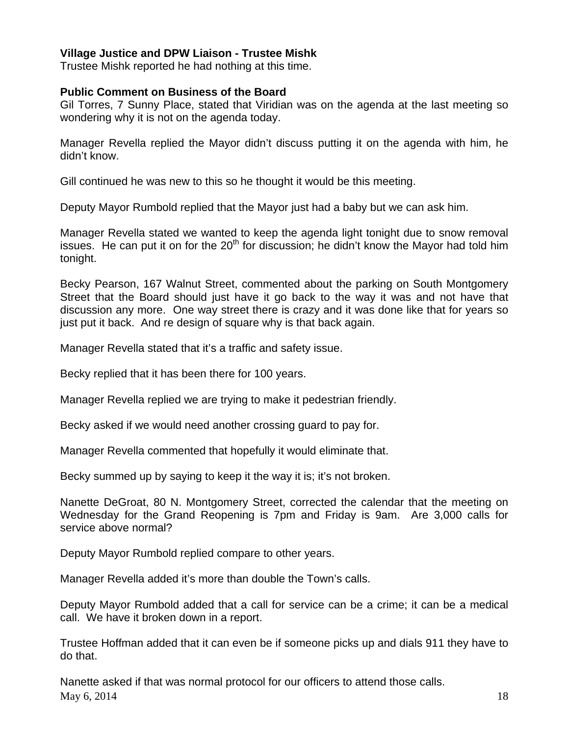# **Village Justice and DPW Liaison - Trustee Mishk**

Trustee Mishk reported he had nothing at this time.

#### **Public Comment on Business of the Board**

Gil Torres, 7 Sunny Place, stated that Viridian was on the agenda at the last meeting so wondering why it is not on the agenda today.

Manager Revella replied the Mayor didn't discuss putting it on the agenda with him, he didn't know.

Gill continued he was new to this so he thought it would be this meeting.

Deputy Mayor Rumbold replied that the Mayor just had a baby but we can ask him.

Manager Revella stated we wanted to keep the agenda light tonight due to snow removal issues. He can put it on for the  $20<sup>th</sup>$  for discussion; he didn't know the Mayor had told him tonight.

Becky Pearson, 167 Walnut Street, commented about the parking on South Montgomery Street that the Board should just have it go back to the way it was and not have that discussion any more. One way street there is crazy and it was done like that for years so just put it back. And re design of square why is that back again.

Manager Revella stated that it's a traffic and safety issue.

Becky replied that it has been there for 100 years.

Manager Revella replied we are trying to make it pedestrian friendly.

Becky asked if we would need another crossing guard to pay for.

Manager Revella commented that hopefully it would eliminate that.

Becky summed up by saying to keep it the way it is; it's not broken.

Nanette DeGroat, 80 N. Montgomery Street, corrected the calendar that the meeting on Wednesday for the Grand Reopening is 7pm and Friday is 9am. Are 3,000 calls for service above normal?

Deputy Mayor Rumbold replied compare to other years.

Manager Revella added it's more than double the Town's calls.

Deputy Mayor Rumbold added that a call for service can be a crime; it can be a medical call. We have it broken down in a report.

Trustee Hoffman added that it can even be if someone picks up and dials 911 they have to do that.

May 6, 2014 18 Nanette asked if that was normal protocol for our officers to attend those calls.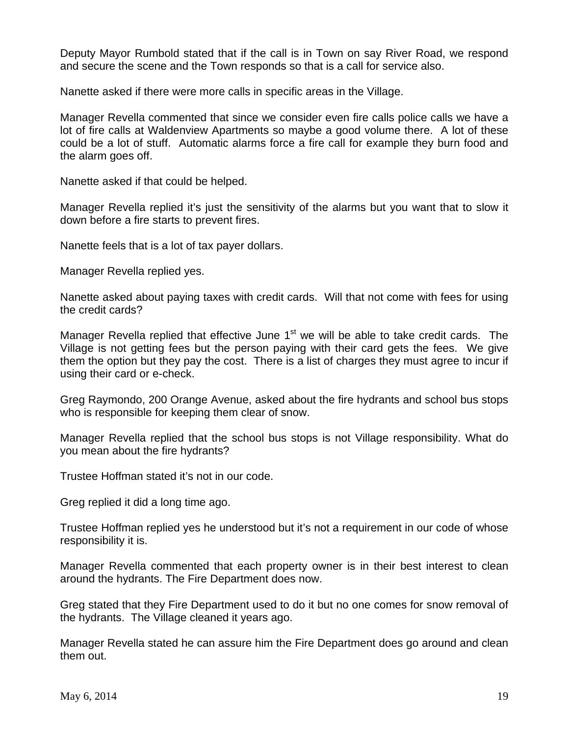Deputy Mayor Rumbold stated that if the call is in Town on say River Road, we respond and secure the scene and the Town responds so that is a call for service also.

Nanette asked if there were more calls in specific areas in the Village.

Manager Revella commented that since we consider even fire calls police calls we have a lot of fire calls at Waldenview Apartments so maybe a good volume there. A lot of these could be a lot of stuff. Automatic alarms force a fire call for example they burn food and the alarm goes off.

Nanette asked if that could be helped.

Manager Revella replied it's just the sensitivity of the alarms but you want that to slow it down before a fire starts to prevent fires.

Nanette feels that is a lot of tax payer dollars.

Manager Revella replied yes.

Nanette asked about paying taxes with credit cards. Will that not come with fees for using the credit cards?

Manager Revella replied that effective June  $1<sup>st</sup>$  we will be able to take credit cards. The Village is not getting fees but the person paying with their card gets the fees. We give them the option but they pay the cost. There is a list of charges they must agree to incur if using their card or e-check.

Greg Raymondo, 200 Orange Avenue, asked about the fire hydrants and school bus stops who is responsible for keeping them clear of snow.

Manager Revella replied that the school bus stops is not Village responsibility. What do you mean about the fire hydrants?

Trustee Hoffman stated it's not in our code.

Greg replied it did a long time ago.

Trustee Hoffman replied yes he understood but it's not a requirement in our code of whose responsibility it is.

Manager Revella commented that each property owner is in their best interest to clean around the hydrants. The Fire Department does now.

Greg stated that they Fire Department used to do it but no one comes for snow removal of the hydrants. The Village cleaned it years ago.

Manager Revella stated he can assure him the Fire Department does go around and clean them out.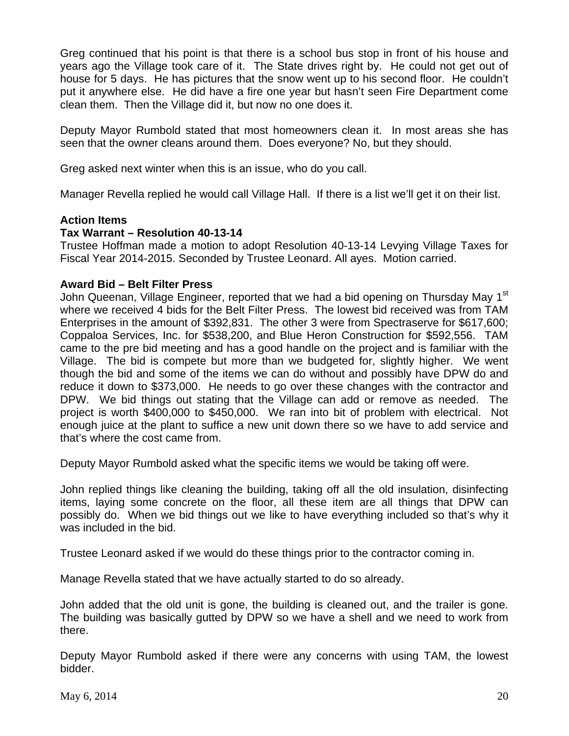Greg continued that his point is that there is a school bus stop in front of his house and years ago the Village took care of it. The State drives right by. He could not get out of house for 5 days. He has pictures that the snow went up to his second floor. He couldn't put it anywhere else. He did have a fire one year but hasn't seen Fire Department come clean them. Then the Village did it, but now no one does it.

Deputy Mayor Rumbold stated that most homeowners clean it. In most areas she has seen that the owner cleans around them. Does everyone? No, but they should.

Greg asked next winter when this is an issue, who do you call.

Manager Revella replied he would call Village Hall. If there is a list we'll get it on their list.

### **Action Items**

### **Tax Warrant – Resolution 40-13-14**

Trustee Hoffman made a motion to adopt Resolution 40-13-14 Levying Village Taxes for Fiscal Year 2014-2015. Seconded by Trustee Leonard. All ayes. Motion carried.

### **Award Bid – Belt Filter Press**

John Queenan, Village Engineer, reported that we had a bid opening on Thursday May 1<sup>st</sup> where we received 4 bids for the Belt Filter Press. The lowest bid received was from TAM Enterprises in the amount of \$392,831. The other 3 were from Spectraserve for \$617,600; Coppaloa Services, Inc. for \$538,200, and Blue Heron Construction for \$592,556. TAM came to the pre bid meeting and has a good handle on the project and is familiar with the Village. The bid is compete but more than we budgeted for, slightly higher. We went though the bid and some of the items we can do without and possibly have DPW do and reduce it down to \$373,000. He needs to go over these changes with the contractor and DPW. We bid things out stating that the Village can add or remove as needed. The project is worth \$400,000 to \$450,000. We ran into bit of problem with electrical. Not enough juice at the plant to suffice a new unit down there so we have to add service and that's where the cost came from.

Deputy Mayor Rumbold asked what the specific items we would be taking off were.

John replied things like cleaning the building, taking off all the old insulation, disinfecting items, laying some concrete on the floor, all these item are all things that DPW can possibly do. When we bid things out we like to have everything included so that's why it was included in the bid.

Trustee Leonard asked if we would do these things prior to the contractor coming in.

Manage Revella stated that we have actually started to do so already.

John added that the old unit is gone, the building is cleaned out, and the trailer is gone. The building was basically gutted by DPW so we have a shell and we need to work from there.

Deputy Mayor Rumbold asked if there were any concerns with using TAM, the lowest bidder.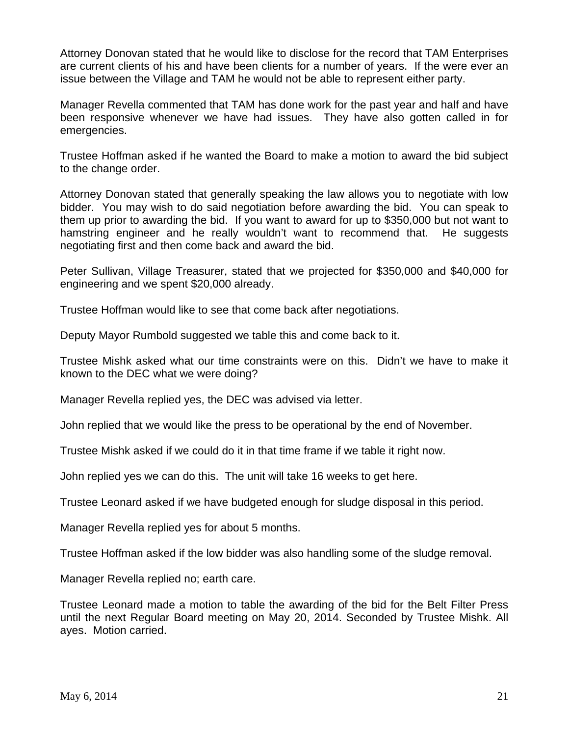Attorney Donovan stated that he would like to disclose for the record that TAM Enterprises are current clients of his and have been clients for a number of years. If the were ever an issue between the Village and TAM he would not be able to represent either party.

Manager Revella commented that TAM has done work for the past year and half and have been responsive whenever we have had issues. They have also gotten called in for emergencies.

Trustee Hoffman asked if he wanted the Board to make a motion to award the bid subject to the change order.

Attorney Donovan stated that generally speaking the law allows you to negotiate with low bidder. You may wish to do said negotiation before awarding the bid. You can speak to them up prior to awarding the bid. If you want to award for up to \$350,000 but not want to hamstring engineer and he really wouldn't want to recommend that. He suggests negotiating first and then come back and award the bid.

Peter Sullivan, Village Treasurer, stated that we projected for \$350,000 and \$40,000 for engineering and we spent \$20,000 already.

Trustee Hoffman would like to see that come back after negotiations.

Deputy Mayor Rumbold suggested we table this and come back to it.

Trustee Mishk asked what our time constraints were on this. Didn't we have to make it known to the DEC what we were doing?

Manager Revella replied yes, the DEC was advised via letter.

John replied that we would like the press to be operational by the end of November.

Trustee Mishk asked if we could do it in that time frame if we table it right now.

John replied yes we can do this. The unit will take 16 weeks to get here.

Trustee Leonard asked if we have budgeted enough for sludge disposal in this period.

Manager Revella replied yes for about 5 months.

Trustee Hoffman asked if the low bidder was also handling some of the sludge removal.

Manager Revella replied no; earth care.

Trustee Leonard made a motion to table the awarding of the bid for the Belt Filter Press until the next Regular Board meeting on May 20, 2014. Seconded by Trustee Mishk. All ayes. Motion carried.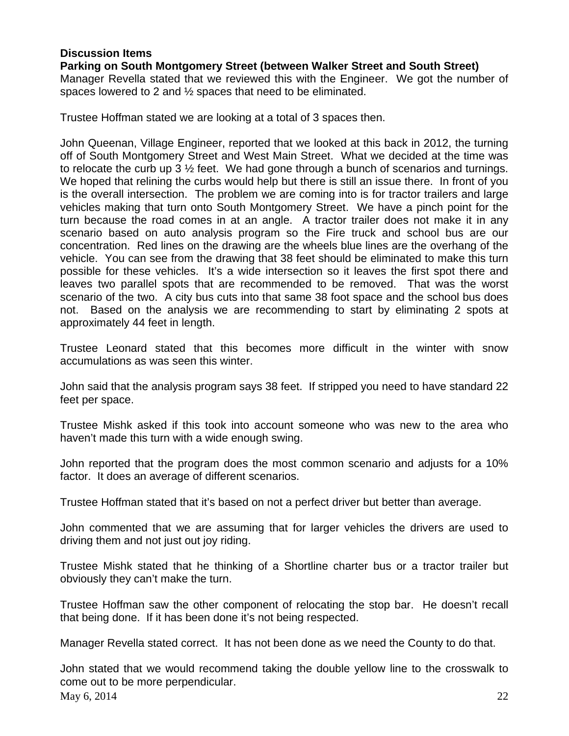# **Discussion Items**

# **Parking on South Montgomery Street (between Walker Street and South Street)**

Manager Revella stated that we reviewed this with the Engineer. We got the number of spaces lowered to 2 and ½ spaces that need to be eliminated.

Trustee Hoffman stated we are looking at a total of 3 spaces then.

John Queenan, Village Engineer, reported that we looked at this back in 2012, the turning off of South Montgomery Street and West Main Street. What we decided at the time was to relocate the curb up 3 ½ feet. We had gone through a bunch of scenarios and turnings. We hoped that relining the curbs would help but there is still an issue there. In front of you is the overall intersection. The problem we are coming into is for tractor trailers and large vehicles making that turn onto South Montgomery Street. We have a pinch point for the turn because the road comes in at an angle. A tractor trailer does not make it in any scenario based on auto analysis program so the Fire truck and school bus are our concentration. Red lines on the drawing are the wheels blue lines are the overhang of the vehicle. You can see from the drawing that 38 feet should be eliminated to make this turn possible for these vehicles. It's a wide intersection so it leaves the first spot there and leaves two parallel spots that are recommended to be removed. That was the worst scenario of the two. A city bus cuts into that same 38 foot space and the school bus does not. Based on the analysis we are recommending to start by eliminating 2 spots at approximately 44 feet in length.

Trustee Leonard stated that this becomes more difficult in the winter with snow accumulations as was seen this winter.

John said that the analysis program says 38 feet. If stripped you need to have standard 22 feet per space.

Trustee Mishk asked if this took into account someone who was new to the area who haven't made this turn with a wide enough swing.

John reported that the program does the most common scenario and adjusts for a 10% factor. It does an average of different scenarios.

Trustee Hoffman stated that it's based on not a perfect driver but better than average.

John commented that we are assuming that for larger vehicles the drivers are used to driving them and not just out joy riding.

Trustee Mishk stated that he thinking of a Shortline charter bus or a tractor trailer but obviously they can't make the turn.

Trustee Hoffman saw the other component of relocating the stop bar. He doesn't recall that being done. If it has been done it's not being respected.

Manager Revella stated correct. It has not been done as we need the County to do that.

May 6, 2014 22 John stated that we would recommend taking the double yellow line to the crosswalk to come out to be more perpendicular.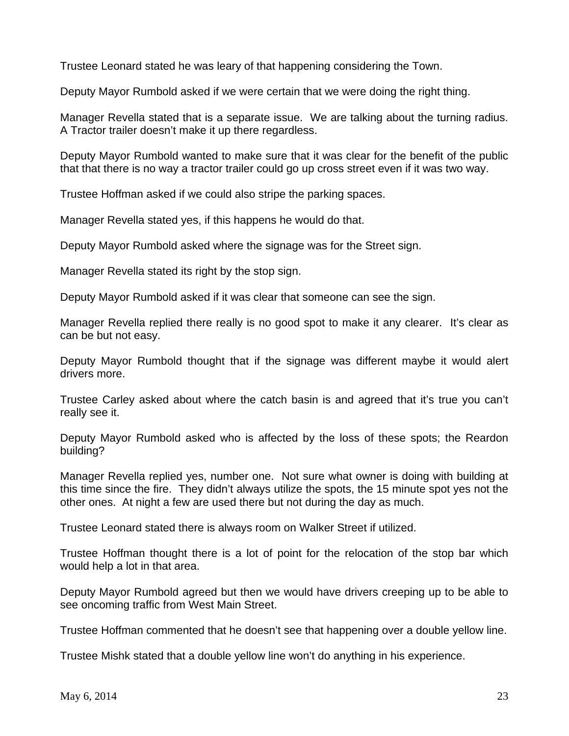Trustee Leonard stated he was leary of that happening considering the Town.

Deputy Mayor Rumbold asked if we were certain that we were doing the right thing.

Manager Revella stated that is a separate issue. We are talking about the turning radius. A Tractor trailer doesn't make it up there regardless.

Deputy Mayor Rumbold wanted to make sure that it was clear for the benefit of the public that that there is no way a tractor trailer could go up cross street even if it was two way.

Trustee Hoffman asked if we could also stripe the parking spaces.

Manager Revella stated yes, if this happens he would do that.

Deputy Mayor Rumbold asked where the signage was for the Street sign.

Manager Revella stated its right by the stop sign.

Deputy Mayor Rumbold asked if it was clear that someone can see the sign.

Manager Revella replied there really is no good spot to make it any clearer. It's clear as can be but not easy.

Deputy Mayor Rumbold thought that if the signage was different maybe it would alert drivers more.

Trustee Carley asked about where the catch basin is and agreed that it's true you can't really see it.

Deputy Mayor Rumbold asked who is affected by the loss of these spots; the Reardon building?

Manager Revella replied yes, number one. Not sure what owner is doing with building at this time since the fire. They didn't always utilize the spots, the 15 minute spot yes not the other ones. At night a few are used there but not during the day as much.

Trustee Leonard stated there is always room on Walker Street if utilized.

Trustee Hoffman thought there is a lot of point for the relocation of the stop bar which would help a lot in that area.

Deputy Mayor Rumbold agreed but then we would have drivers creeping up to be able to see oncoming traffic from West Main Street.

Trustee Hoffman commented that he doesn't see that happening over a double yellow line.

Trustee Mishk stated that a double yellow line won't do anything in his experience.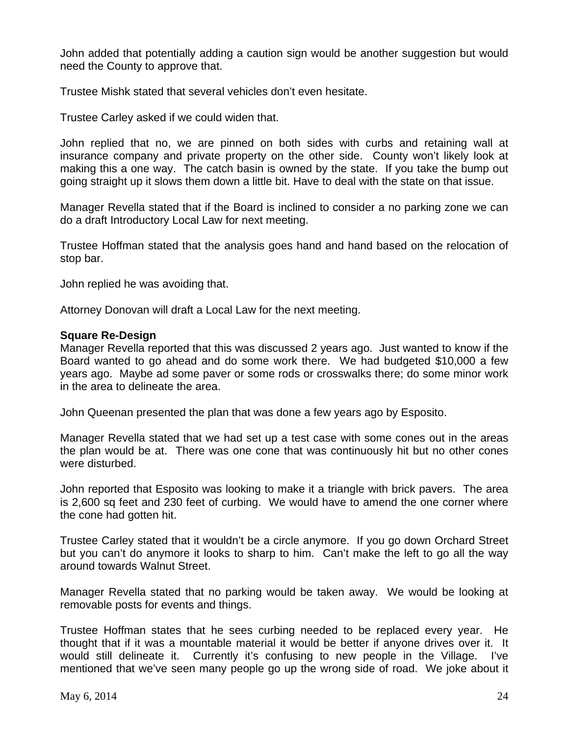John added that potentially adding a caution sign would be another suggestion but would need the County to approve that.

Trustee Mishk stated that several vehicles don't even hesitate.

Trustee Carley asked if we could widen that.

John replied that no, we are pinned on both sides with curbs and retaining wall at insurance company and private property on the other side. County won't likely look at making this a one way. The catch basin is owned by the state. If you take the bump out going straight up it slows them down a little bit. Have to deal with the state on that issue.

Manager Revella stated that if the Board is inclined to consider a no parking zone we can do a draft Introductory Local Law for next meeting.

Trustee Hoffman stated that the analysis goes hand and hand based on the relocation of stop bar.

John replied he was avoiding that.

Attorney Donovan will draft a Local Law for the next meeting.

#### **Square Re-Design**

Manager Revella reported that this was discussed 2 years ago. Just wanted to know if the Board wanted to go ahead and do some work there. We had budgeted \$10,000 a few years ago. Maybe ad some paver or some rods or crosswalks there; do some minor work in the area to delineate the area.

John Queenan presented the plan that was done a few years ago by Esposito.

Manager Revella stated that we had set up a test case with some cones out in the areas the plan would be at. There was one cone that was continuously hit but no other cones were disturbed.

John reported that Esposito was looking to make it a triangle with brick pavers. The area is 2,600 sq feet and 230 feet of curbing. We would have to amend the one corner where the cone had gotten hit.

Trustee Carley stated that it wouldn't be a circle anymore. If you go down Orchard Street but you can't do anymore it looks to sharp to him. Can't make the left to go all the way around towards Walnut Street.

Manager Revella stated that no parking would be taken away. We would be looking at removable posts for events and things.

Trustee Hoffman states that he sees curbing needed to be replaced every year. He thought that if it was a mountable material it would be better if anyone drives over it. It would still delineate it. Currently it's confusing to new people in the Village. I've mentioned that we've seen many people go up the wrong side of road. We joke about it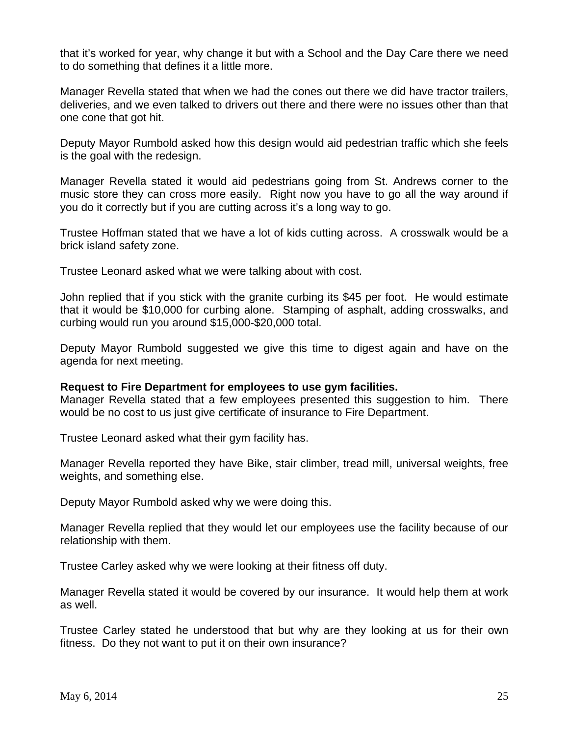that it's worked for year, why change it but with a School and the Day Care there we need to do something that defines it a little more.

Manager Revella stated that when we had the cones out there we did have tractor trailers, deliveries, and we even talked to drivers out there and there were no issues other than that one cone that got hit.

Deputy Mayor Rumbold asked how this design would aid pedestrian traffic which she feels is the goal with the redesign.

Manager Revella stated it would aid pedestrians going from St. Andrews corner to the music store they can cross more easily. Right now you have to go all the way around if you do it correctly but if you are cutting across it's a long way to go.

Trustee Hoffman stated that we have a lot of kids cutting across. A crosswalk would be a brick island safety zone.

Trustee Leonard asked what we were talking about with cost.

John replied that if you stick with the granite curbing its \$45 per foot. He would estimate that it would be \$10,000 for curbing alone. Stamping of asphalt, adding crosswalks, and curbing would run you around \$15,000-\$20,000 total.

Deputy Mayor Rumbold suggested we give this time to digest again and have on the agenda for next meeting.

#### **Request to Fire Department for employees to use gym facilities.**

Manager Revella stated that a few employees presented this suggestion to him. There would be no cost to us just give certificate of insurance to Fire Department.

Trustee Leonard asked what their gym facility has.

Manager Revella reported they have Bike, stair climber, tread mill, universal weights, free weights, and something else.

Deputy Mayor Rumbold asked why we were doing this.

Manager Revella replied that they would let our employees use the facility because of our relationship with them.

Trustee Carley asked why we were looking at their fitness off duty.

Manager Revella stated it would be covered by our insurance. It would help them at work as well.

Trustee Carley stated he understood that but why are they looking at us for their own fitness. Do they not want to put it on their own insurance?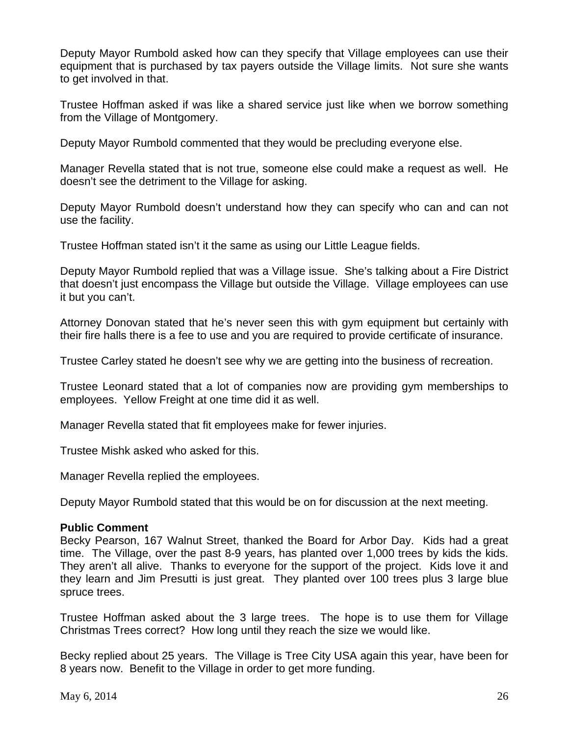Deputy Mayor Rumbold asked how can they specify that Village employees can use their equipment that is purchased by tax payers outside the Village limits. Not sure she wants to get involved in that.

Trustee Hoffman asked if was like a shared service just like when we borrow something from the Village of Montgomery.

Deputy Mayor Rumbold commented that they would be precluding everyone else.

Manager Revella stated that is not true, someone else could make a request as well. He doesn't see the detriment to the Village for asking.

Deputy Mayor Rumbold doesn't understand how they can specify who can and can not use the facility.

Trustee Hoffman stated isn't it the same as using our Little League fields.

Deputy Mayor Rumbold replied that was a Village issue. She's talking about a Fire District that doesn't just encompass the Village but outside the Village. Village employees can use it but you can't.

Attorney Donovan stated that he's never seen this with gym equipment but certainly with their fire halls there is a fee to use and you are required to provide certificate of insurance.

Trustee Carley stated he doesn't see why we are getting into the business of recreation.

Trustee Leonard stated that a lot of companies now are providing gym memberships to employees. Yellow Freight at one time did it as well.

Manager Revella stated that fit employees make for fewer injuries.

Trustee Mishk asked who asked for this.

Manager Revella replied the employees.

Deputy Mayor Rumbold stated that this would be on for discussion at the next meeting.

### **Public Comment**

Becky Pearson, 167 Walnut Street, thanked the Board for Arbor Day. Kids had a great time. The Village, over the past 8-9 years, has planted over 1,000 trees by kids the kids. They aren't all alive. Thanks to everyone for the support of the project. Kids love it and they learn and Jim Presutti is just great. They planted over 100 trees plus 3 large blue spruce trees.

Trustee Hoffman asked about the 3 large trees. The hope is to use them for Village Christmas Trees correct? How long until they reach the size we would like.

Becky replied about 25 years. The Village is Tree City USA again this year, have been for 8 years now. Benefit to the Village in order to get more funding.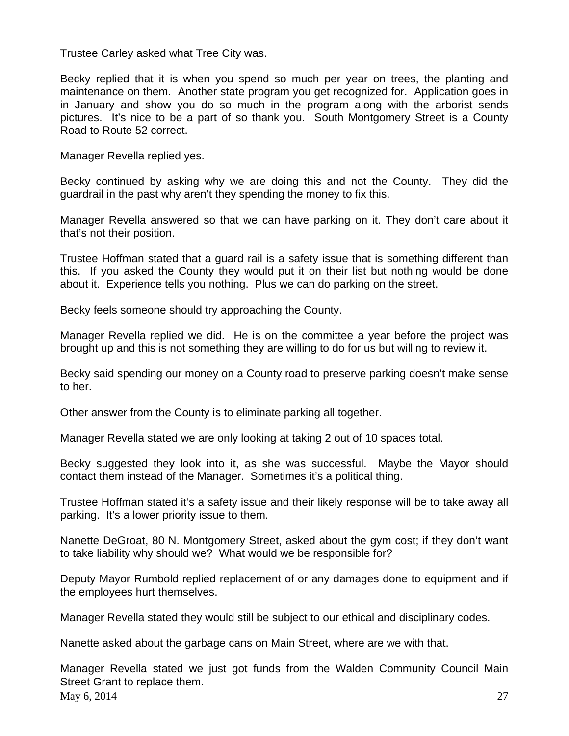Trustee Carley asked what Tree City was.

Becky replied that it is when you spend so much per year on trees, the planting and maintenance on them. Another state program you get recognized for. Application goes in in January and show you do so much in the program along with the arborist sends pictures. It's nice to be a part of so thank you. South Montgomery Street is a County Road to Route 52 correct.

Manager Revella replied yes.

Becky continued by asking why we are doing this and not the County. They did the guardrail in the past why aren't they spending the money to fix this.

Manager Revella answered so that we can have parking on it. They don't care about it that's not their position.

Trustee Hoffman stated that a guard rail is a safety issue that is something different than this. If you asked the County they would put it on their list but nothing would be done about it. Experience tells you nothing. Plus we can do parking on the street.

Becky feels someone should try approaching the County.

Manager Revella replied we did. He is on the committee a year before the project was brought up and this is not something they are willing to do for us but willing to review it.

Becky said spending our money on a County road to preserve parking doesn't make sense to her.

Other answer from the County is to eliminate parking all together.

Manager Revella stated we are only looking at taking 2 out of 10 spaces total.

Becky suggested they look into it, as she was successful. Maybe the Mayor should contact them instead of the Manager. Sometimes it's a political thing.

Trustee Hoffman stated it's a safety issue and their likely response will be to take away all parking. It's a lower priority issue to them.

Nanette DeGroat, 80 N. Montgomery Street, asked about the gym cost; if they don't want to take liability why should we? What would we be responsible for?

Deputy Mayor Rumbold replied replacement of or any damages done to equipment and if the employees hurt themselves.

Manager Revella stated they would still be subject to our ethical and disciplinary codes.

Nanette asked about the garbage cans on Main Street, where are we with that.

May 6, 2014 27 Manager Revella stated we just got funds from the Walden Community Council Main Street Grant to replace them.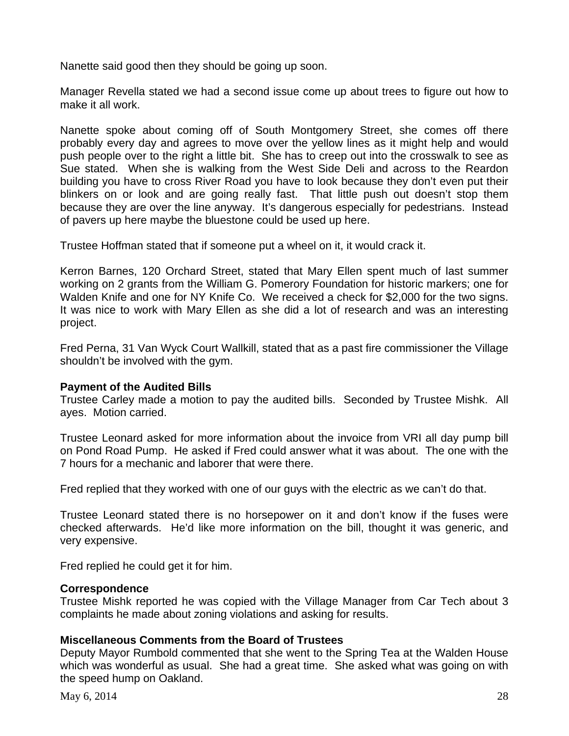Nanette said good then they should be going up soon.

Manager Revella stated we had a second issue come up about trees to figure out how to make it all work.

Nanette spoke about coming off of South Montgomery Street, she comes off there probably every day and agrees to move over the yellow lines as it might help and would push people over to the right a little bit. She has to creep out into the crosswalk to see as Sue stated. When she is walking from the West Side Deli and across to the Reardon building you have to cross River Road you have to look because they don't even put their blinkers on or look and are going really fast. That little push out doesn't stop them because they are over the line anyway. It's dangerous especially for pedestrians. Instead of pavers up here maybe the bluestone could be used up here.

Trustee Hoffman stated that if someone put a wheel on it, it would crack it.

Kerron Barnes, 120 Orchard Street, stated that Mary Ellen spent much of last summer working on 2 grants from the William G. Pomerory Foundation for historic markers; one for Walden Knife and one for NY Knife Co. We received a check for \$2,000 for the two signs. It was nice to work with Mary Ellen as she did a lot of research and was an interesting project.

Fred Perna, 31 Van Wyck Court Wallkill, stated that as a past fire commissioner the Village shouldn't be involved with the gym.

### **Payment of the Audited Bills**

Trustee Carley made a motion to pay the audited bills. Seconded by Trustee Mishk. All ayes. Motion carried.

Trustee Leonard asked for more information about the invoice from VRI all day pump bill on Pond Road Pump. He asked if Fred could answer what it was about. The one with the 7 hours for a mechanic and laborer that were there.

Fred replied that they worked with one of our guys with the electric as we can't do that.

Trustee Leonard stated there is no horsepower on it and don't know if the fuses were checked afterwards. He'd like more information on the bill, thought it was generic, and very expensive.

Fred replied he could get it for him.

### **Correspondence**

Trustee Mishk reported he was copied with the Village Manager from Car Tech about 3 complaints he made about zoning violations and asking for results.

# **Miscellaneous Comments from the Board of Trustees**

Deputy Mayor Rumbold commented that she went to the Spring Tea at the Walden House which was wonderful as usual. She had a great time. She asked what was going on with the speed hump on Oakland.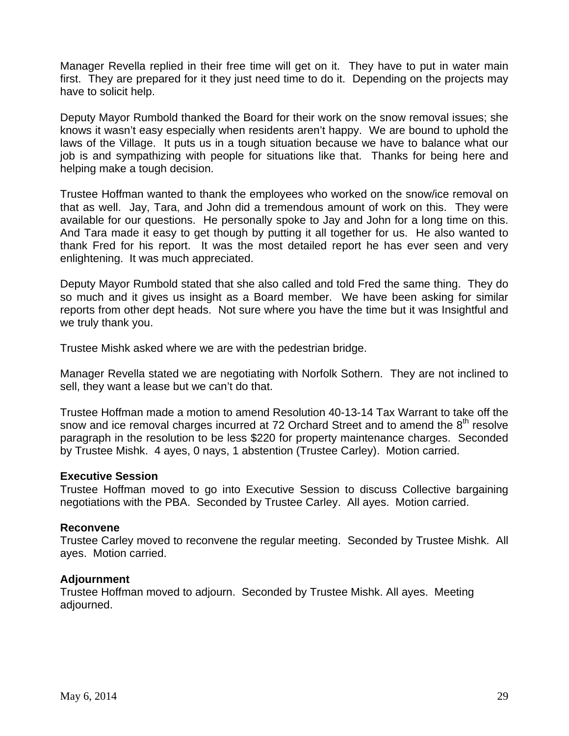Manager Revella replied in their free time will get on it. They have to put in water main first. They are prepared for it they just need time to do it. Depending on the projects may have to solicit help.

Deputy Mayor Rumbold thanked the Board for their work on the snow removal issues; she knows it wasn't easy especially when residents aren't happy. We are bound to uphold the laws of the Village. It puts us in a tough situation because we have to balance what our job is and sympathizing with people for situations like that. Thanks for being here and helping make a tough decision.

Trustee Hoffman wanted to thank the employees who worked on the snow/ice removal on that as well. Jay, Tara, and John did a tremendous amount of work on this. They were available for our questions. He personally spoke to Jay and John for a long time on this. And Tara made it easy to get though by putting it all together for us. He also wanted to thank Fred for his report. It was the most detailed report he has ever seen and very enlightening. It was much appreciated.

Deputy Mayor Rumbold stated that she also called and told Fred the same thing. They do so much and it gives us insight as a Board member. We have been asking for similar reports from other dept heads. Not sure where you have the time but it was Insightful and we truly thank you.

Trustee Mishk asked where we are with the pedestrian bridge.

Manager Revella stated we are negotiating with Norfolk Sothern. They are not inclined to sell, they want a lease but we can't do that.

Trustee Hoffman made a motion to amend Resolution 40-13-14 Tax Warrant to take off the snow and ice removal charges incurred at 72 Orchard Street and to amend the  $8<sup>th</sup>$  resolve paragraph in the resolution to be less \$220 for property maintenance charges. Seconded by Trustee Mishk. 4 ayes, 0 nays, 1 abstention (Trustee Carley). Motion carried.

### **Executive Session**

Trustee Hoffman moved to go into Executive Session to discuss Collective bargaining negotiations with the PBA. Seconded by Trustee Carley. All ayes. Motion carried.

### **Reconvene**

Trustee Carley moved to reconvene the regular meeting. Seconded by Trustee Mishk. All ayes. Motion carried.

### **Adjournment**

Trustee Hoffman moved to adjourn. Seconded by Trustee Mishk. All ayes. Meeting adjourned.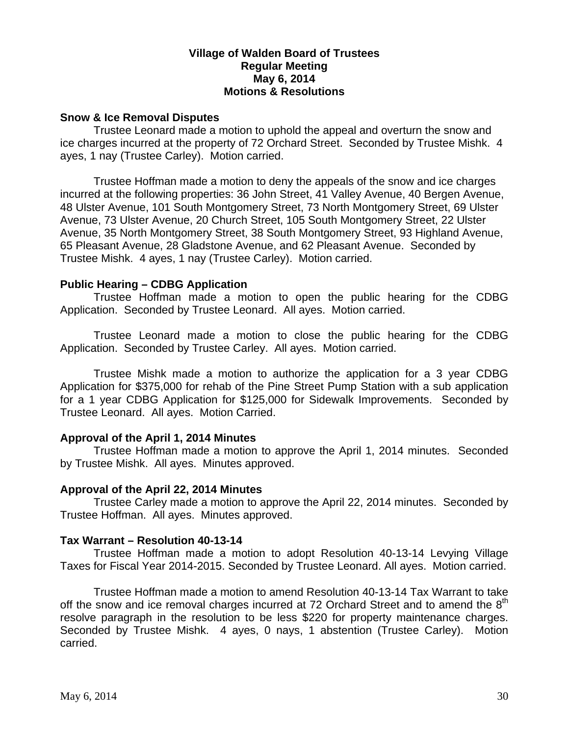### **Village of Walden Board of Trustees Regular Meeting May 6, 2014 Motions & Resolutions**

### **Snow & Ice Removal Disputes**

Trustee Leonard made a motion to uphold the appeal and overturn the snow and ice charges incurred at the property of 72 Orchard Street. Seconded by Trustee Mishk. 4 ayes, 1 nay (Trustee Carley). Motion carried.

Trustee Hoffman made a motion to deny the appeals of the snow and ice charges incurred at the following properties: 36 John Street, 41 Valley Avenue, 40 Bergen Avenue, 48 Ulster Avenue, 101 South Montgomery Street, 73 North Montgomery Street, 69 Ulster Avenue, 73 Ulster Avenue, 20 Church Street, 105 South Montgomery Street, 22 Ulster Avenue, 35 North Montgomery Street, 38 South Montgomery Street, 93 Highland Avenue, 65 Pleasant Avenue, 28 Gladstone Avenue, and 62 Pleasant Avenue. Seconded by Trustee Mishk. 4 ayes, 1 nay (Trustee Carley). Motion carried.

### **Public Hearing – CDBG Application**

 Trustee Hoffman made a motion to open the public hearing for the CDBG Application. Seconded by Trustee Leonard. All ayes. Motion carried.

 Trustee Leonard made a motion to close the public hearing for the CDBG Application. Seconded by Trustee Carley. All ayes. Motion carried.

 Trustee Mishk made a motion to authorize the application for a 3 year CDBG Application for \$375,000 for rehab of the Pine Street Pump Station with a sub application for a 1 year CDBG Application for \$125,000 for Sidewalk Improvements. Seconded by Trustee Leonard. All ayes. Motion Carried.

# **Approval of the April 1, 2014 Minutes**

Trustee Hoffman made a motion to approve the April 1, 2014 minutes. Seconded by Trustee Mishk. All ayes. Minutes approved.

### **Approval of the April 22, 2014 Minutes**

Trustee Carley made a motion to approve the April 22, 2014 minutes. Seconded by Trustee Hoffman. All ayes. Minutes approved.

### **Tax Warrant – Resolution 40-13-14**

Trustee Hoffman made a motion to adopt Resolution 40-13-14 Levying Village Taxes for Fiscal Year 2014-2015. Seconded by Trustee Leonard. All ayes. Motion carried.

Trustee Hoffman made a motion to amend Resolution 40-13-14 Tax Warrant to take off the snow and ice removal charges incurred at 72 Orchard Street and to amend the  $8<sup>th</sup>$ resolve paragraph in the resolution to be less \$220 for property maintenance charges. Seconded by Trustee Mishk. 4 ayes, 0 nays, 1 abstention (Trustee Carley). Motion carried.